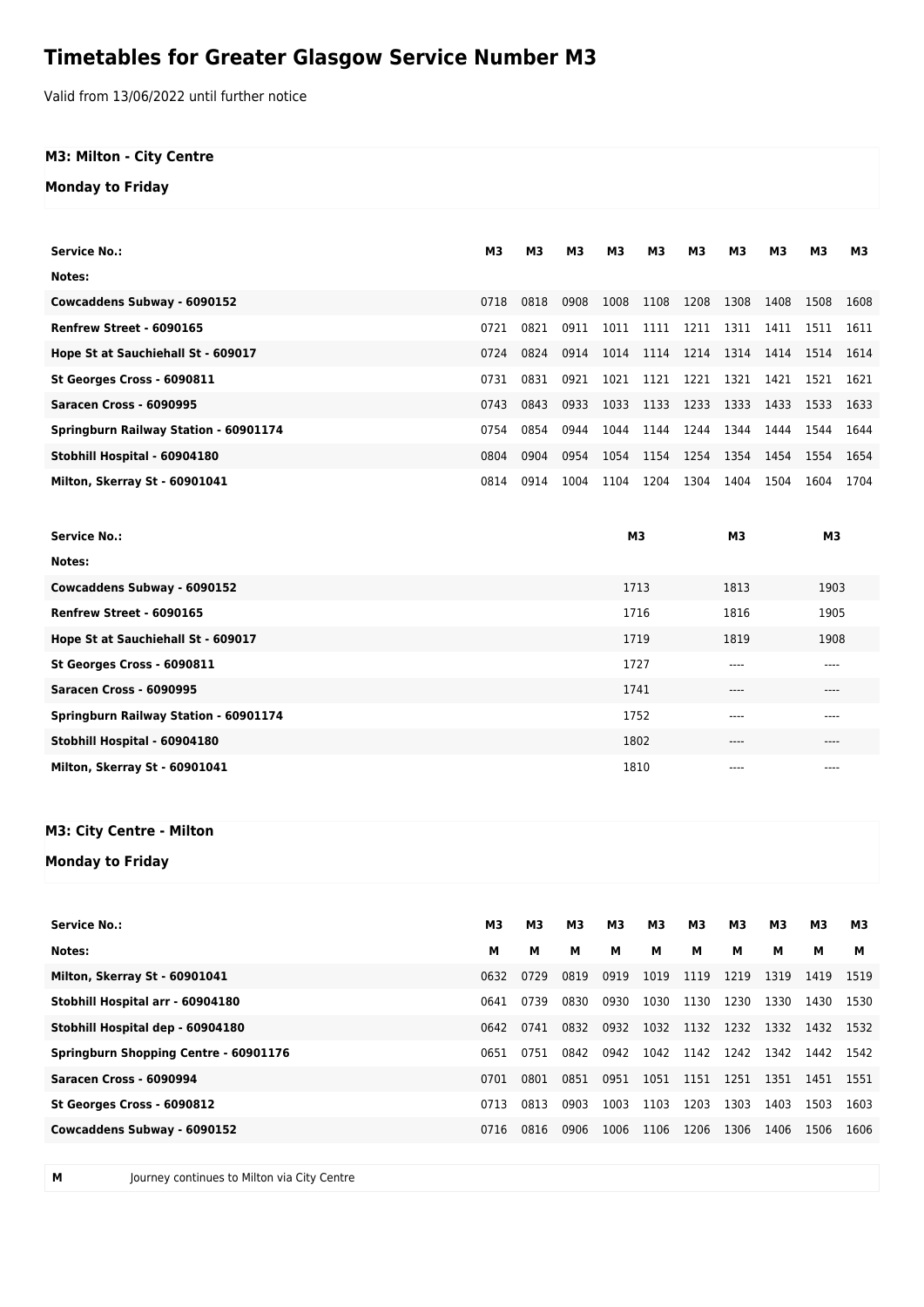## **Timetables for Greater Glasgow Service Number M3**

Valid from 13/06/2022 until further notice

## **M3: Milton - City Centre**

**Monday to Friday**

| <b>Service No.:</b>                   | M <sub>3</sub> | M <sub>3</sub> | M <sub>3</sub> | M3             | м3   | M <sub>3</sub> | M <sub>3</sub> | M3   | M <sub>3</sub> | M3   |
|---------------------------------------|----------------|----------------|----------------|----------------|------|----------------|----------------|------|----------------|------|
| Notes:                                |                |                |                |                |      |                |                |      |                |      |
| Cowcaddens Subway - 6090152           | 0718           | 0818           | 0908           | 1008           | 1108 | 1208           | 1308           | 1408 | 1508           | 1608 |
| Renfrew Street - 6090165              | 0721           | 0821           | 0911           | 1011           | 1111 | 1211           | 1311           | 1411 | 1511           | 1611 |
| Hope St at Sauchiehall St - 609017    | 0724           | 0824           | 0914           | 1014           | 1114 | 1214           | 1314           | 1414 | 1514           | 1614 |
| St Georges Cross - 6090811            | 0731           | 0831           | 0921           | 1021           | 1121 | 1221           | 1321           | 1421 | 1521           | 1621 |
| Saracen Cross - 6090995               | 0743           | 0843           | 0933           | 1033           | 1133 | 1233           | 1333           | 1433 | 1533           | 1633 |
| Springburn Railway Station - 60901174 | 0754           | 0854           | 0944           | 1044           | 1144 | 1244           | 1344           | 1444 | 1544           | 1644 |
| Stobhill Hospital - 60904180          | 0804           | 0904           | 0954           | 1054           | 1154 | 1254           | 1354           | 1454 | 1554           | 1654 |
| Milton, Skerray St - 60901041         | 0814           | 0914           | 1004           | 1104           | 1204 | 1304           | 1404           | 1504 | 1604           | 1704 |
|                                       |                |                |                |                |      |                |                |      |                |      |
|                                       |                |                |                |                |      |                |                |      |                |      |
| <b>Service No.:</b>                   |                |                |                | M <sub>3</sub> |      |                | M <sub>3</sub> |      | M <sub>3</sub> |      |
| Notes:                                |                |                |                |                |      |                |                |      |                |      |
| Cowcaddens Subway - 6090152           |                |                |                | 1713           |      |                | 1813           |      | 1903           |      |
| Renfrew Street - 6090165              |                |                |                | 1716           |      |                | 1816           |      | 1905           |      |
| Hope St at Sauchiehall St - 609017    |                |                |                | 1719           |      |                | 1819           |      | 1908           |      |
| St Georges Cross - 6090811            |                |                |                | 1727           |      |                | ----           |      | $---$          |      |
| Saracen Cross - 6090995               |                |                |                | 1741           |      |                | ----           |      | ----           |      |
| Springburn Railway Station - 60901174 |                |                |                | 1752           |      |                | ----           |      | $---$          |      |
| Stobhill Hospital - 60904180          |                |                |                | 1802           |      |                | $---$          |      | ----           |      |
| Milton, Skerray St - 60901041         |                |                |                | 1810           |      |                |                |      |                |      |
|                                       |                |                |                |                |      |                |                |      |                |      |

## **M3: City Centre - Milton**

**Monday to Friday**

| <b>Service No.:</b>                          | мз   | М3   | M3   | Μ3   | M3        | М3   | М3   | Μ3        | Μ3   | М3   |
|----------------------------------------------|------|------|------|------|-----------|------|------|-----------|------|------|
| Notes:                                       | м    | м    | м    | м    | м         | м    | м    | м         | м    | м    |
| <b>Milton, Skerray St - 60901041</b>         | 0632 | 0729 | 0819 | 0919 | 1019      | 1119 | 1219 | 1319      | 1419 | 1519 |
| Stobhill Hospital arr - 60904180             | 0641 | 0739 | 0830 | 0930 | 1030      | 1130 | 1230 | 1330      | 1430 | 1530 |
| Stobhill Hospital dep - 60904180             | 0642 | 0741 | 0832 | 0932 | 1032 1132 |      | 1232 | 1332 1432 |      | 1532 |
| <b>Springburn Shopping Centre - 60901176</b> | 0651 | 0751 | 0842 | 0942 | 1042 1142 |      | 1242 | 1342      | 1442 | 1542 |
| Saracen Cross - 6090994                      | 0701 | 0801 | 0851 | 0951 | 1051      | 1151 | 1251 | 1351      | 1451 | 1551 |
| St Georges Cross - 6090812                   | 0713 | 0813 | 0903 | 1003 | 1103      | 1203 | 1303 | 1403      | 1503 | 1603 |
| Cowcaddens Subway - 6090152                  | 0716 | 0816 | 0906 | 1006 | 1106      | 1206 | 1306 | 1406      | 1506 | 1606 |
|                                              |      |      |      |      |           |      |      |           |      |      |